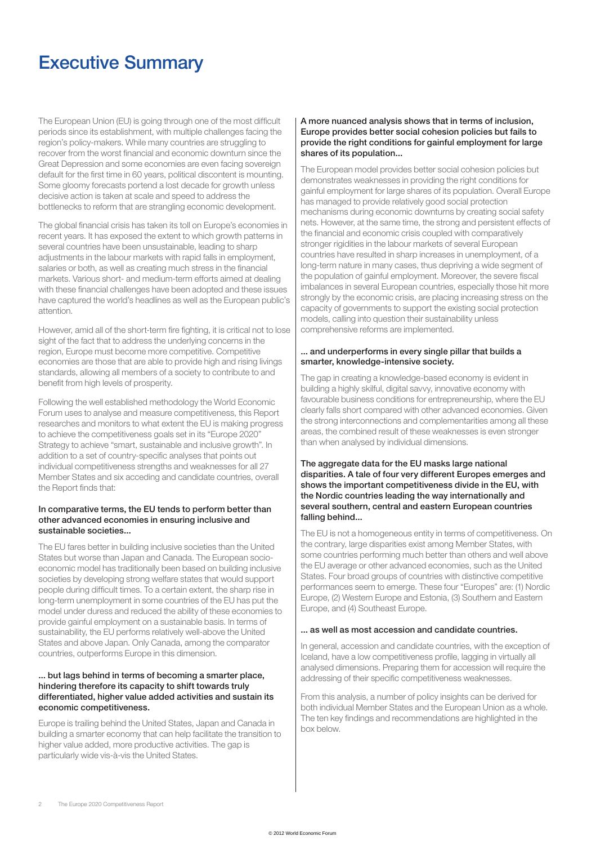# Executive Summary

The European Union (EU) is going through one of the most difficult periods since its establishment, with multiple challenges facing the region's policy-makers. While many countries are struggling to recover from the worst financial and economic downturn since the Great Depression and some economies are even facing sovereign default for the first time in 60 years, political discontent is mounting. Some gloomy forecasts portend a lost decade for growth unless decisive action is taken at scale and speed to address the bottlenecks to reform that are strangling economic development.

The global financial crisis has taken its toll on Europe's economies in recent years. It has exposed the extent to which growth patterns in several countries have been unsustainable, leading to sharp adjustments in the labour markets with rapid falls in employment, salaries or both, as well as creating much stress in the financial markets. Various short- and medium-term efforts aimed at dealing with these financial challenges have been adopted and these issues have captured the world's headlines as well as the European public's attention.

However, amid all of the short-term fire fighting, it is critical not to lose sight of the fact that to address the underlying concerns in the region, Europe must become more competitive. Competitive economies are those that are able to provide high and rising livings standards, allowing all members of a society to contribute to and benefit from high levels of prosperity.

Following the well established methodology the World Economic Forum uses to analyse and measure competitiveness, this Report researches and monitors to what extent the EU is making progress to achieve the competitiveness goals set in its "Europe 2020" Strategy to achieve "smart, sustainable and inclusive growth". In addition to a set of country-specific analyses that points out individual competitiveness strengths and weaknesses for all 27 Member States and six acceding and candidate countries, overall the Report finds that:

#### In comparative terms, the EU tends to perform better than other advanced economies in ensuring inclusive and sustainable societies...

The EU fares better in building inclusive societies than the United States but worse than Japan and Canada. The European socioeconomic model has traditionally been based on building inclusive societies by developing strong welfare states that would support people during difficult times. To a certain extent, the sharp rise in long-term unemployment in some countries of the EU has put the model under duress and reduced the ability of these economies to provide gainful employment on a sustainable basis. In terms of sustainability, the EU performs relatively well-above the United States and above Japan. Only Canada, among the comparator countries, outperforms Europe in this dimension.

#### ... but lags behind in terms of becoming a smarter place, hindering therefore its capacity to shift towards truly differentiated, higher value added activities and sustain its economic competitiveness.

Europe is trailing behind the United States, Japan and Canada in building a smarter economy that can help facilitate the transition to higher value added, more productive activities. The gap is particularly wide vis-à-vis the United States.

#### A more nuanced analysis shows that in terms of inclusion, Europe provides better social cohesion policies but fails to provide the right conditions for gainful employment for large shares of its population...

The European model provides better social cohesion policies but demonstrates weaknesses in providing the right conditions for gainful employment for large shares of its population. Overall Europe has managed to provide relatively good social protection mechanisms during economic downturns by creating social safety nets. However, at the same time, the strong and persistent effects of the financial and economic crisis coupled with comparatively stronger rigidities in the labour markets of several European countries have resulted in sharp increases in unemployment, of a long-term nature in many cases, thus depriving a wide segment of the population of gainful employment. Moreover, the severe fiscal imbalances in several European countries, especially those hit more strongly by the economic crisis, are placing increasing stress on the capacity of governments to support the existing social protection models, calling into question their sustainability unless comprehensive reforms are implemented.

### ... and underperforms in every single pillar that builds a smarter, knowledge-intensive society.

The gap in creating a knowledge-based economy is evident in building a highly skilful, digital savvy, innovative economy with favourable business conditions for entrepreneurship, where the EU clearly falls short compared with other advanced economies. Given the strong interconnections and complementarities among all these areas, the combined result of these weaknesses is even stronger than when analysed by individual dimensions.

#### The aggregate data for the EU masks large national disparities. A tale of four very different Europes emerges and shows the important competitiveness divide in the EU, with the Nordic countries leading the way internationally and several southern, central and eastern European countries falling behind...

The EU is not a homogeneous entity in terms of competitiveness. On the contrary, large disparities exist among Member States, with some countries performing much better than others and well above the EU average or other advanced economies, such as the United States. Four broad groups of countries with distinctive competitive performances seem to emerge. These four "Europes" are: (1) Nordic Europe, (2) Western Europe and Estonia, (3) Southern and Eastern Europe, and (4) Southeast Europe.

## ... as well as most accession and candidate countries.

In general, accession and candidate countries, with the exception of Iceland, have a low competitiveness profile, lagging in virtually all analysed dimensions. Preparing them for accession will require the addressing of their specific competitiveness weaknesses.

From this analysis, a number of policy insights can be derived for both individual Member States and the European Union as a whole. The ten key findings and recommendations are highlighted in the box below.